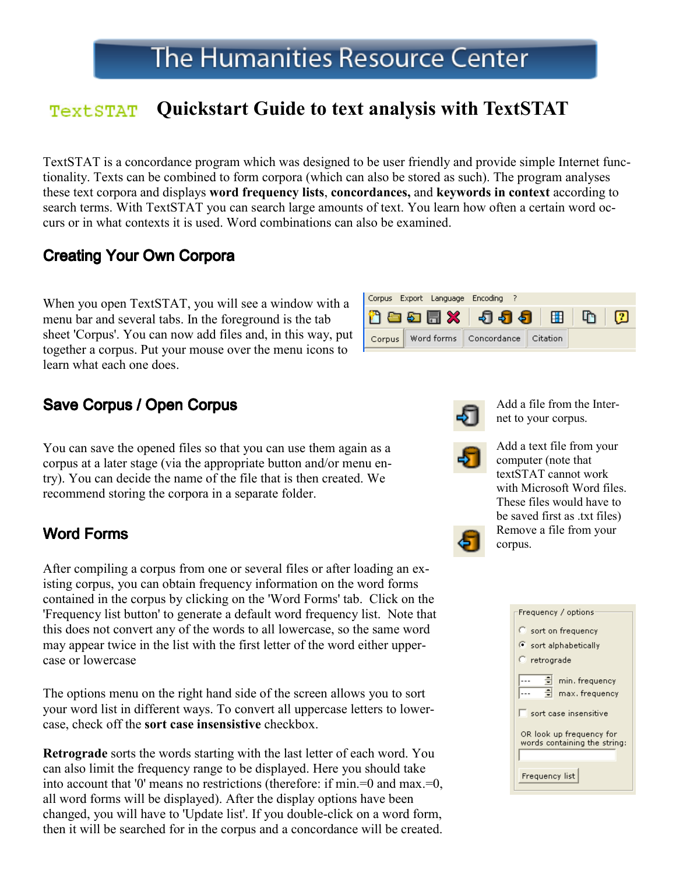#### Quickstart Guide to text analysis with TextSTAT **TextSTAT**

TextSTAT is a concordance program which was designed to be user friendly and provide simple Internet functionality. Texts can be combined to form corpora (which can also be stored as such). The program analyses these text corpora and displays word frequency lists, concordances, and keywords in context according to search terms. With TextSTAT you can search large amounts of text. You learn how often a certain word occurs or in what contexts it is used. Word combinations can also be examined.

# **Creating Your Own Corpora**

When you open TextSTAT, you will see a window with a menu bar and several tabs. In the foreground is the tab sheet 'Corpus'. You can now add files and, in this way, put together a corpus. Put your mouse over the menu icons to learn what each one does.



You can save the opened files so that you can use them again as a corpus at a later stage (via the appropriate button and/or menu entry). You can decide the name of the file that is then created. We recommend storing the corpora in a separate folder.

### Word Forms

After compiling a corpus from one or several files or after loading an existing corpus, you can obtain frequency information on the word forms contained in the corpus by clicking on the 'Word Forms' tab. Click on the 'Frequency list button' to generate a default word frequency list. Note that this does not convert any of the words to all lowercase, so the same word may appear twice in the list with the first letter of the word either uppercase or lowercase

The options menu on the right hand side of the screen allows you to sort your word list in different ways. To convert all uppercase letters to lowercase, check off the sort case insensistive checkbox.

Retrograde sorts the words starting with the last letter of each word. You can also limit the frequency range to be displayed. Here you should take into account that '0' means no restrictions (therefore: if min.=0 and max.=0, all word forms will be displayed). After the display options have been changed, you will have to 'Update list'. If you double-click on a word form, then it will be searched for in the corpus and a concordance will be created.





Add a file from the Internet to your corpus.



Add a text file from your computer (note that textSTAT cannot work with Microsoft Word files. These files would have to be saved first as .txt files) Remove a file from your corpus.